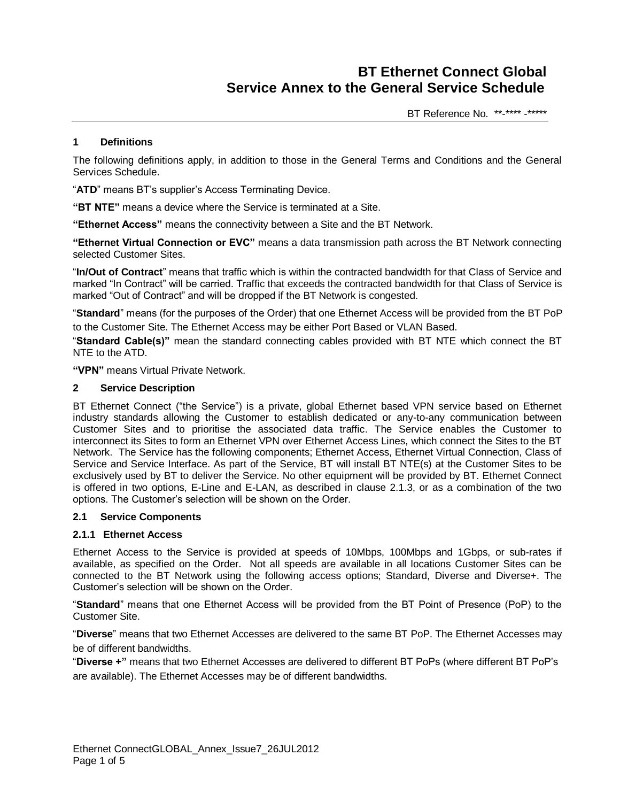BT Reference No. \*\*-\*\*\*\* -\*\*\*\*\*

## **1 Definitions**

The following definitions apply, in addition to those in the General Terms and Conditions and the General Services Schedule.

"**ATD**" means BT's supplier's Access Terminating Device.

**"BT NTE"** means a device where the Service is terminated at a Site.

**"Ethernet Access"** means the connectivity between a Site and the BT Network.

**"Ethernet Virtual Connection or EVC"** means a data transmission path across the BT Network connecting selected Customer Sites.

"**In/Out of Contract**" means that traffic which is within the contracted bandwidth for that Class of Service and marked "In Contract" will be carried. Traffic that exceeds the contracted bandwidth for that Class of Service is marked "Out of Contract" and will be dropped if the BT Network is congested.

"**Standard**" means (for the purposes of the Order) that one Ethernet Access will be provided from the BT PoP to the Customer Site. The Ethernet Access may be either Port Based or VLAN Based.

"**Standard Cable(s)"** mean the standard connecting cables provided with BT NTE which connect the BT NTE to the ATD.

**"VPN"** means Virtual Private Network.

#### **2 Service Description**

BT Ethernet Connect ("the Service") is a private, global Ethernet based VPN service based on Ethernet industry standards allowing the Customer to establish dedicated or any-to-any communication between Customer Sites and to prioritise the associated data traffic. The Service enables the Customer to interconnect its Sites to form an Ethernet VPN over Ethernet Access Lines, which connect the Sites to the BT Network. The Service has the following components; Ethernet Access, Ethernet Virtual Connection, Class of Service and Service Interface. As part of the Service, BT will install BT NTE(s) at the Customer Sites to be exclusively used by BT to deliver the Service. No other equipment will be provided by BT. Ethernet Connect is offered in two options, E-Line and E-LAN, as described in clause 2.1.3, or as a combination of the two options. The Customer's selection will be shown on the Order.

## **2.1 Service Components**

## **2.1.1 Ethernet Access**

Ethernet Access to the Service is provided at speeds of 10Mbps, 100Mbps and 1Gbps, or sub-rates if available, as specified on the Order. Not all speeds are available in all locations Customer Sites can be connected to the BT Network using the following access options; Standard, Diverse and Diverse+. The Customer's selection will be shown on the Order.

"**Standard**" means that one Ethernet Access will be provided from the BT Point of Presence (PoP) to the Customer Site.

"**Diverse**" means that two Ethernet Accesses are delivered to the same BT PoP. The Ethernet Accesses may be of different bandwidths.

"**Diverse +"** means that two Ethernet Accesses are delivered to different BT PoPs (where different BT PoP's are available). The Ethernet Accesses may be of different bandwidths.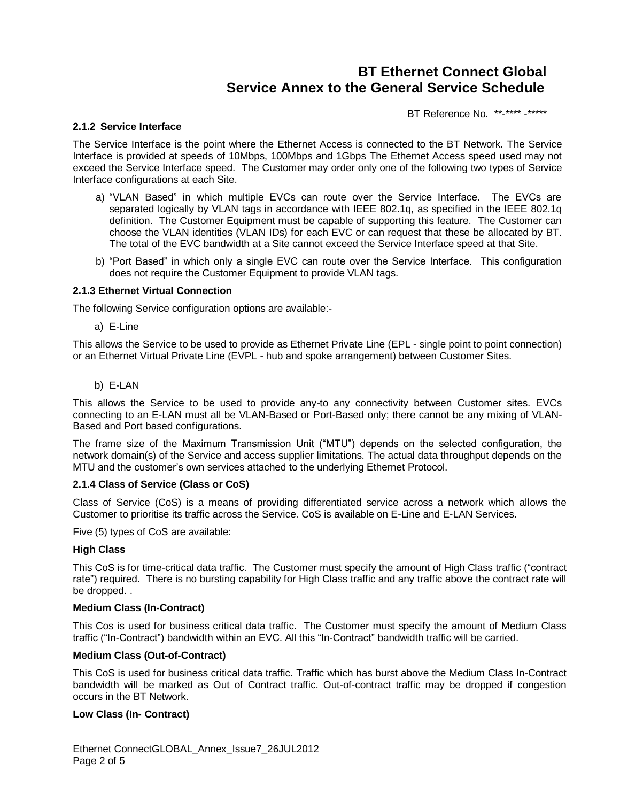BT Reference No. \*\*-\*\*\*\* -\*\*\*\*\*

## **2.1.2 Service Interface**

The Service Interface is the point where the Ethernet Access is connected to the BT Network. The Service Interface is provided at speeds of 10Mbps, 100Mbps and 1Gbps The Ethernet Access speed used may not exceed the Service Interface speed. The Customer may order only one of the following two types of Service Interface configurations at each Site.

- a) "VLAN Based" in which multiple EVCs can route over the Service Interface. The EVCs are separated logically by VLAN tags in accordance with IEEE 802.1q, as specified in the IEEE 802.1q definition. The Customer Equipment must be capable of supporting this feature. The Customer can choose the VLAN identities (VLAN IDs) for each EVC or can request that these be allocated by BT. The total of the EVC bandwidth at a Site cannot exceed the Service Interface speed at that Site.
- b) "Port Based" in which only a single EVC can route over the Service Interface. This configuration does not require the Customer Equipment to provide VLAN tags.

### **2.1.3 Ethernet Virtual Connection**

The following Service configuration options are available:-

a) E-Line

This allows the Service to be used to provide as Ethernet Private Line (EPL - single point to point connection) or an Ethernet Virtual Private Line (EVPL - hub and spoke arrangement) between Customer Sites.

b) E-LAN

This allows the Service to be used to provide any-to any connectivity between Customer sites. EVCs connecting to an E-LAN must all be VLAN-Based or Port-Based only; there cannot be any mixing of VLAN-Based and Port based configurations.

The frame size of the Maximum Transmission Unit ("MTU") depends on the selected configuration, the network domain(s) of the Service and access supplier limitations. The actual data throughput depends on the MTU and the customer's own services attached to the underlying Ethernet Protocol.

### **2.1.4 Class of Service (Class or CoS)**

Class of Service (CoS) is a means of providing differentiated service across a network which allows the Customer to prioritise its traffic across the Service. CoS is available on E-Line and E-LAN Services.

Five (5) types of CoS are available:

### **High Class**

This CoS is for time-critical data traffic. The Customer must specify the amount of High Class traffic ("contract rate") required. There is no bursting capability for High Class traffic and any traffic above the contract rate will be dropped. .

### **Medium Class (In-Contract)**

This Cos is used for business critical data traffic. The Customer must specify the amount of Medium Class traffic ("In-Contract") bandwidth within an EVC. All this "In-Contract" bandwidth traffic will be carried.

### **Medium Class (Out-of-Contract)**

This CoS is used for business critical data traffic. Traffic which has burst above the Medium Class In-Contract bandwidth will be marked as Out of Contract traffic. Out-of-contract traffic may be dropped if congestion occurs in the BT Network.

### **Low Class (In- Contract)**

Ethernet ConnectGLOBAL\_Annex\_Issue7\_26JUL2012 Page 2 of 5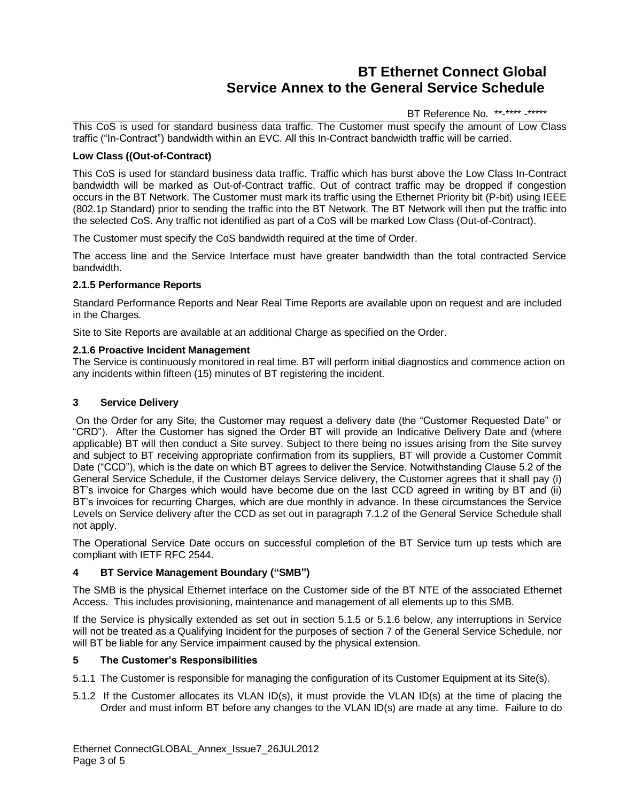# BT Reference No. \*\*-\*\*\*\* -\*\*\*\*\*

This CoS is used for standard business data traffic. The Customer must specify the amount of Low Class traffic ("In-Contract") bandwidth within an EVC. All this In-Contract bandwidth traffic will be carried.

# **Low Class ((Out-of-Contract)**

This CoS is used for standard business data traffic. Traffic which has burst above the Low Class In-Contract bandwidth will be marked as Out-of-Contract traffic. Out of contract traffic may be dropped if congestion occurs in the BT Network. The Customer must mark its traffic using the Ethernet Priority bit (P-bit) using IEEE (802.1p Standard) prior to sending the traffic into the BT Network. The BT Network will then put the traffic into the selected CoS. Any traffic not identified as part of a CoS will be marked Low Class (Out-of-Contract).

The Customer must specify the CoS bandwidth required at the time of Order.

The access line and the Service Interface must have greater bandwidth than the total contracted Service bandwidth.

## **2.1.5 Performance Reports**

Standard Performance Reports and Near Real Time Reports are available upon on request and are included in the Charges.

Site to Site Reports are available at an additional Charge as specified on the Order.

## **2.1.6 Proactive Incident Management**

The Service is continuously monitored in real time. BT will perform initial diagnostics and commence action on any incidents within fifteen (15) minutes of BT registering the incident.

## **3 Service Delivery**

On the Order for any Site, the Customer may request a delivery date (the "Customer Requested Date" or "CRD"). After the Customer has signed the Order BT will provide an Indicative Delivery Date and (where applicable) BT will then conduct a Site survey. Subject to there being no issues arising from the Site survey and subject to BT receiving appropriate confirmation from its suppliers, BT will provide a Customer Commit Date ("CCD"), which is the date on which BT agrees to deliver the Service. Notwithstanding Clause 5.2 of the General Service Schedule, if the Customer delays Service delivery, the Customer agrees that it shall pay (i) BT's invoice for Charges which would have become due on the last CCD agreed in writing by BT and (ii) BT's invoices for recurring Charges, which are due monthly in advance. In these circumstances the Service Levels on Service delivery after the CCD as set out in paragraph 7.1.2 of the General Service Schedule shall not apply.

The Operational Service Date occurs on successful completion of the BT Service turn up tests which are compliant with IETF RFC 2544.

# **4 BT Service Management Boundary ("SMB")**

The SMB is the physical Ethernet interface on the Customer side of the BT NTE of the associated Ethernet Access. This includes provisioning, maintenance and management of all elements up to this SMB.

If the Service is physically extended as set out in section 5.1.5 or 5.1.6 below, any interruptions in Service will not be treated as a Qualifying Incident for the purposes of section 7 of the General Service Schedule, nor will BT be liable for any Service impairment caused by the physical extension.

# **5 The Customer's Responsibilities**

- 5.1.1 The Customer is responsible for managing the configuration of its Customer Equipment at its Site(s).
- 5.1.2 If the Customer allocates its VLAN ID(s), it must provide the VLAN ID(s) at the time of placing the Order and must inform BT before any changes to the VLAN ID(s) are made at any time. Failure to do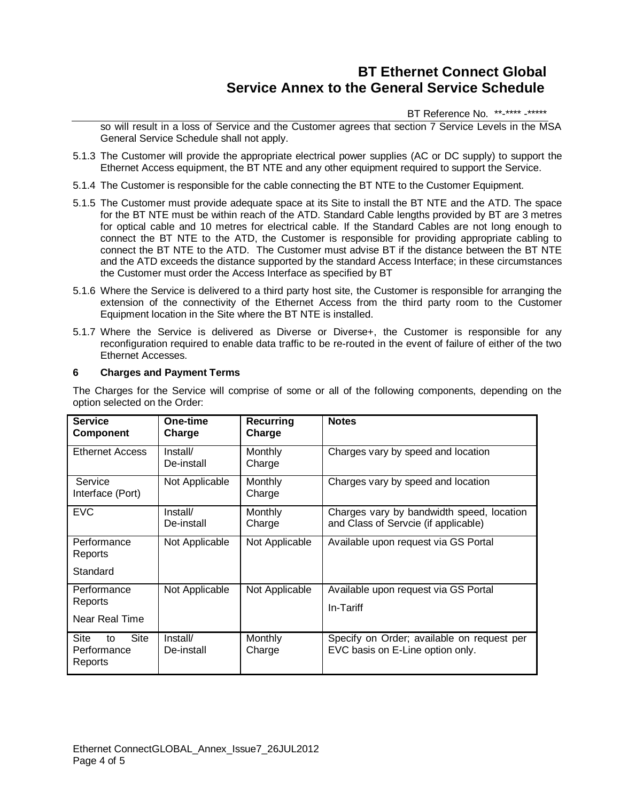## BT Reference No. \*\*-\*\*\*\* -\*\*\*\*\*

so will result in a loss of Service and the Customer agrees that section 7 Service Levels in the MSA General Service Schedule shall not apply.

- 5.1.3 The Customer will provide the appropriate electrical power supplies (AC or DC supply) to support the Ethernet Access equipment, the BT NTE and any other equipment required to support the Service.
- 5.1.4 The Customer is responsible for the cable connecting the BT NTE to the Customer Equipment.
- 5.1.5 The Customer must provide adequate space at its Site to install the BT NTE and the ATD. The space for the BT NTE must be within reach of the ATD. Standard Cable lengths provided by BT are 3 metres for optical cable and 10 metres for electrical cable. If the Standard Cables are not long enough to connect the BT NTE to the ATD, the Customer is responsible for providing appropriate cabling to connect the BT NTE to the ATD. The Customer must advise BT if the distance between the BT NTE and the ATD exceeds the distance supported by the standard Access Interface; in these circumstances the Customer must order the Access Interface as specified by BT
- 5.1.6 Where the Service is delivered to a third party host site, the Customer is responsible for arranging the extension of the connectivity of the Ethernet Access from the third party room to the Customer Equipment location in the Site where the BT NTE is installed.
- 5.1.7 Where the Service is delivered as Diverse or Diverse+, the Customer is responsible for any reconfiguration required to enable data traffic to be re-routed in the event of failure of either of the two Ethernet Accesses.

## **6 Charges and Payment Terms**

The Charges for the Service will comprise of some or all of the following components, depending on the option selected on the Order:

| <b>Service</b><br><b>Component</b>           | One-time<br>Charge     | Recurring<br>Charge | <b>Notes</b>                                                                      |
|----------------------------------------------|------------------------|---------------------|-----------------------------------------------------------------------------------|
| <b>Ethernet Access</b>                       | Install/<br>De-install | Monthly<br>Charge   | Charges vary by speed and location                                                |
| Service<br>Interface (Port)                  | Not Applicable         | Monthly<br>Charge   | Charges vary by speed and location                                                |
| <b>EVC</b>                                   | Install/<br>De-install | Monthly<br>Charge   | Charges vary by bandwidth speed, location<br>and Class of Servcie (if applicable) |
| Performance<br>Reports<br>Standard           | Not Applicable         | Not Applicable      | Available upon request via GS Portal                                              |
| Performance<br>Reports<br>Near Real Time     | Not Applicable         | Not Applicable      | Available upon request via GS Portal<br>In-Tariff                                 |
| Site<br>Site<br>to<br>Performance<br>Reports | Install/<br>De-install | Monthly<br>Charge   | Specify on Order; available on request per<br>EVC basis on E-Line option only.    |